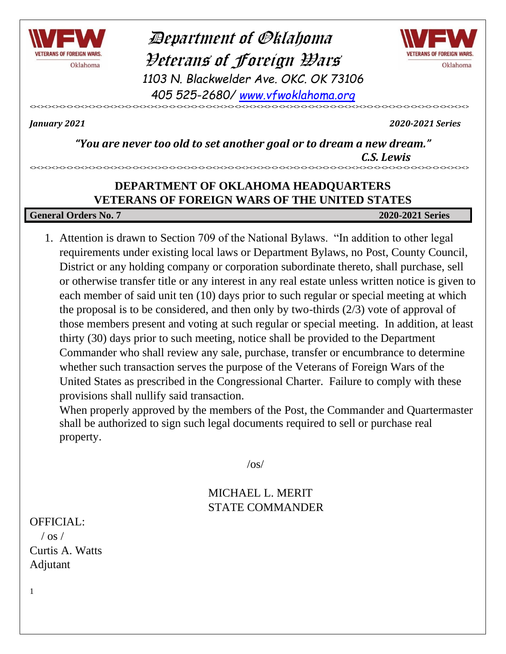

 Department of Oklahoma Veterans of Foreign Wars *1103 N. Blackwelder Ave. OKC. OK 73106 405 525-2680/ [www.vfwoklahoma.org](http://www.vfwoklahoma.org/)*



<><><><><><><><><><><><><><><><><><><><><><><><><><><><><><><><><><><><><><><><><><><><><><><><><><><><><><><><><><><><>

*January 2021 2020-2021 Series*

*"You are never too old to set another goal or to dream a new dream." C.S. Lewis*

### **DEPARTMENT OF OKLAHOMA HEADQUARTERS VETERANS OF FOREIGN WARS OF THE UNITED STATES**

<><><><><><><><><><><><><><><><><><><><><><><><><><><><><><><><><><><><><><><><><><><><><><><><><><><><><><><><><><><><>

#### **General Orders No. 7 2020-2021 Series**

1. Attention is drawn to Section 709 of the National Bylaws. "In addition to other legal requirements under existing local laws or Department Bylaws, no Post, County Council, District or any holding company or corporation subordinate thereto, shall purchase, sell or otherwise transfer title or any interest in any real estate unless written notice is given to each member of said unit ten (10) days prior to such regular or special meeting at which the proposal is to be considered, and then only by two-thirds (2/3) vote of approval of those members present and voting at such regular or special meeting. In addition, at least thirty (30) days prior to such meeting, notice shall be provided to the Department Commander who shall review any sale, purchase, transfer or encumbrance to determine whether such transaction serves the purpose of the Veterans of Foreign Wars of the United States as prescribed in the Congressional Charter. Failure to comply with these provisions shall nullify said transaction.

When properly approved by the members of the Post, the Commander and Quartermaster shall be authorized to sign such legal documents required to sell or purchase real property.

 $\sqrt{OS}$ 

### MICHAEL L. MERIT STATE COMMANDER

#### OFFICIAL:

1

 $/$  os  $/$ Curtis A. Watts Adjutant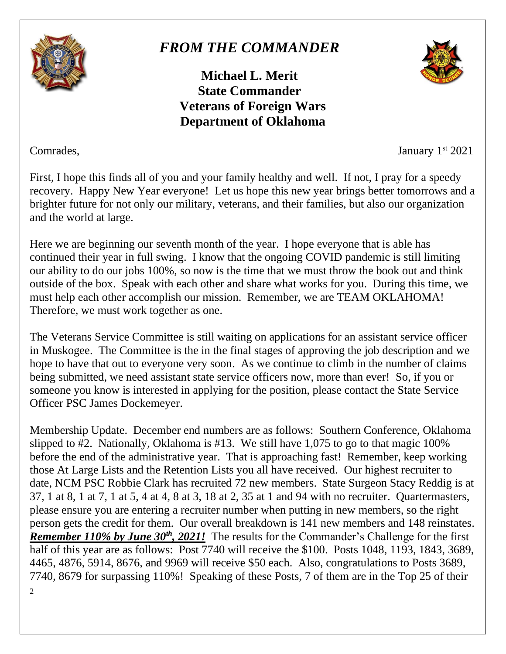

## *FROM THE COMMANDER*

**Michael L. Merit State Commander Veterans of Foreign Wars Department of Oklahoma**



Comrades, January 1

January  $1<sup>st</sup> 2021$ 

First, I hope this finds all of you and your family healthy and well. If not, I pray for a speedy recovery. Happy New Year everyone! Let us hope this new year brings better tomorrows and a brighter future for not only our military, veterans, and their families, but also our organization and the world at large.

Here we are beginning our seventh month of the year. I hope everyone that is able has continued their year in full swing. I know that the ongoing COVID pandemic is still limiting our ability to do our jobs 100%, so now is the time that we must throw the book out and think outside of the box. Speak with each other and share what works for you. During this time, we must help each other accomplish our mission. Remember, we are TEAM OKLAHOMA! Therefore, we must work together as one.

The Veterans Service Committee is still waiting on applications for an assistant service officer in Muskogee. The Committee is the in the final stages of approving the job description and we hope to have that out to everyone very soon. As we continue to climb in the number of claims being submitted, we need assistant state service officers now, more than ever! So, if you or someone you know is interested in applying for the position, please contact the State Service Officer PSC James Dockemeyer.

 $\overline{2}$ Membership Update. December end numbers are as follows: Southern Conference, Oklahoma slipped to #2. Nationally, Oklahoma is #13. We still have 1,075 to go to that magic 100% before the end of the administrative year. That is approaching fast! Remember, keep working those At Large Lists and the Retention Lists you all have received. Our highest recruiter to date, NCM PSC Robbie Clark has recruited 72 new members. State Surgeon Stacy Reddig is at 37, 1 at 8, 1 at 7, 1 at 5, 4 at 4, 8 at 3, 18 at 2, 35 at 1 and 94 with no recruiter. Quartermasters, please ensure you are entering a recruiter number when putting in new members, so the right person gets the credit for them. Our overall breakdown is 141 new members and 148 reinstates. *Remember 110% by June 30<sup>th</sup>*, 2021! The results for the Commander's Challenge for the first half of this year are as follows: Post 7740 will receive the \$100. Posts 1048, 1193, 1843, 3689, 4465, 4876, 5914, 8676, and 9969 will receive \$50 each. Also, congratulations to Posts 3689, 7740, 8679 for surpassing 110%! Speaking of these Posts, 7 of them are in the Top 25 of their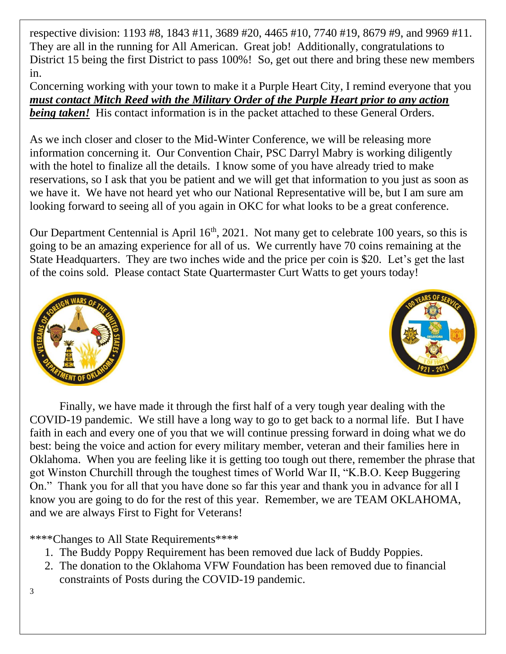respective division: 1193 #8, 1843 #11, 3689 #20, 4465 #10, 7740 #19, 8679 #9, and 9969 #11. They are all in the running for All American. Great job! Additionally, congratulations to District 15 being the first District to pass 100%! So, get out there and bring these new members in.

Concerning working with your town to make it a Purple Heart City, I remind everyone that you *must contact Mitch Reed with the Military Order of the Purple Heart prior to any action being taken!* His contact information is in the packet attached to these General Orders.

As we inch closer and closer to the Mid-Winter Conference, we will be releasing more information concerning it. Our Convention Chair, PSC Darryl Mabry is working diligently with the hotel to finalize all the details. I know some of you have already tried to make reservations, so I ask that you be patient and we will get that information to you just as soon as we have it. We have not heard yet who our National Representative will be, but I am sure am looking forward to seeing all of you again in OKC for what looks to be a great conference.

Our Department Centennial is April 16<sup>th</sup>, 2021. Not many get to celebrate 100 years, so this is going to be an amazing experience for all of us. We currently have 70 coins remaining at the State Headquarters. They are two inches wide and the price per coin is \$20. Let's get the last of the coins sold. Please contact State Quartermaster Curt Watts to get yours today!





Finally, we have made it through the first half of a very tough year dealing with the COVID-19 pandemic. We still have a long way to go to get back to a normal life. But I have faith in each and every one of you that we will continue pressing forward in doing what we do best: being the voice and action for every military member, veteran and their families here in Oklahoma. When you are feeling like it is getting too tough out there, remember the phrase that got Winston Churchill through the toughest times of World War II, "K.B.O. Keep Buggering On." Thank you for all that you have done so far this year and thank you in advance for all I know you are going to do for the rest of this year. Remember, we are TEAM OKLAHOMA, and we are always First to Fight for Veterans!

\*\*\*\*Changes to All State Requirements\*\*\*\*

- 1. The Buddy Poppy Requirement has been removed due lack of Buddy Poppies.
- 2. The donation to the Oklahoma VFW Foundation has been removed due to financial constraints of Posts during the COVID-19 pandemic.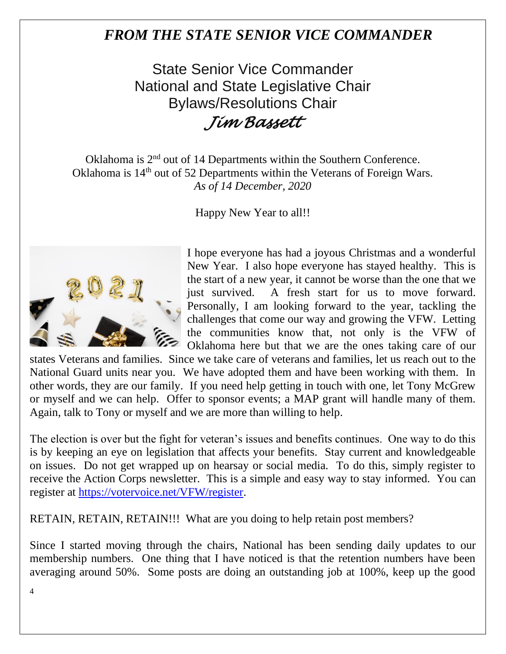### *FROM THE STATE SENIOR VICE COMMANDER*

State Senior Vice Commander National and State Legislative Chair Bylaws/Resolutions Chair *Jim Bassett* 

Oklahoma is 2<sup>nd</sup> out of 14 Departments within the Southern Conference. Oklahoma is 14<sup>th</sup> out of 52 Departments within the Veterans of Foreign Wars. *As of 14 December, 2020*

Happy New Year to all!!



I hope everyone has had a joyous Christmas and a wonderful New Year. I also hope everyone has stayed healthy. This is the start of a new year, it cannot be worse than the one that we just survived. A fresh start for us to move forward. Personally, I am looking forward to the year, tackling the challenges that come our way and growing the VFW. Letting the communities know that, not only is the VFW of Oklahoma here but that we are the ones taking care of our

states Veterans and families. Since we take care of veterans and families, let us reach out to the National Guard units near you. We have adopted them and have been working with them. In other words, they are our family. If you need help getting in touch with one, let Tony McGrew or myself and we can help. Offer to sponsor events; a MAP grant will handle many of them. Again, talk to Tony or myself and we are more than willing to help.

The election is over but the fight for veteran's issues and benefits continues. One way to do this is by keeping an eye on legislation that affects your benefits. Stay current and knowledgeable on issues. Do not get wrapped up on hearsay or social media. To do this, simply register to receive the Action Corps newsletter. This is a simple and easy way to stay informed. You can register at [https://votervoice.net/VFW/register.](https://votervoice.net/VFW/register)

RETAIN, RETAIN, RETAIN!!! What are you doing to help retain post members?

Since I started moving through the chairs, National has been sending daily updates to our membership numbers. One thing that I have noticed is that the retention numbers have been averaging around 50%. Some posts are doing an outstanding job at 100%, keep up the good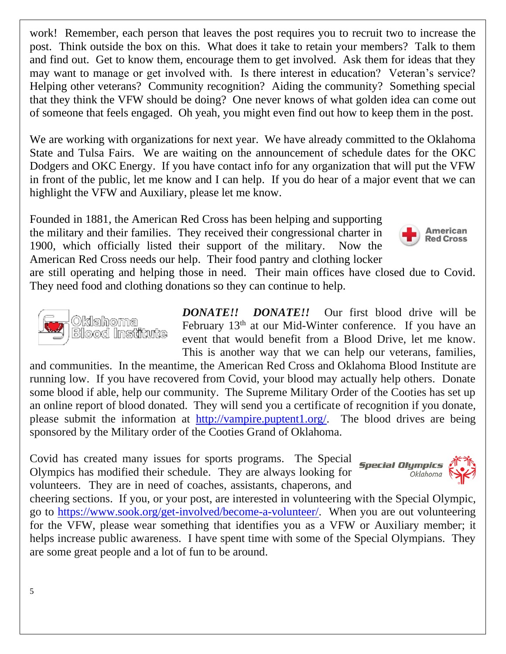work! Remember, each person that leaves the post requires you to recruit two to increase the post. Think outside the box on this. What does it take to retain your members? Talk to them and find out. Get to know them, encourage them to get involved. Ask them for ideas that they may want to manage or get involved with. Is there interest in education? Veteran's service? Helping other veterans? Community recognition? Aiding the community? Something special that they think the VFW should be doing? One never knows of what golden idea can come out of someone that feels engaged. Oh yeah, you might even find out how to keep them in the post.

We are working with organizations for next year. We have already committed to the Oklahoma State and Tulsa Fairs. We are waiting on the announcement of schedule dates for the OKC Dodgers and OKC Energy. If you have contact info for any organization that will put the VFW in front of the public, let me know and I can help. If you do hear of a major event that we can highlight the VFW and Auxiliary, please let me know.

Founded in 1881, the American Red Cross has been helping and supporting the military and their families. They received their congressional charter in 1900, which officially listed their support of the military. Now the American Red Cross needs our help. Their food pantry and clothing locker



are still operating and helping those in need. Their main offices have closed due to Covid. They need food and clothing donations so they can continue to help.



*DONATE!! DONATE!!* Our first blood drive will be February 13<sup>th</sup> at our Mid-Winter conference. If you have an event that would benefit from a Blood Drive, let me know. This is another way that we can help our veterans, families,

and communities. In the meantime, the American Red Cross and Oklahoma Blood Institute are running low. If you have recovered from Covid, your blood may actually help others. Donate some blood if able, help our community. The Supreme Military Order of the Cooties has set up an online report of blood donated. They will send you a certificate of recognition if you donate, please submit the information at [http://vampire.puptent1.org/.](http://vampire.puptent1.org/) The blood drives are being sponsored by the Military order of the Cooties Grand of Oklahoma.

Covid has created many issues for sports programs. The Special Olympics has modified their schedule. They are always looking for volunteers. They are in need of coaches, assistants, chaperons, and



cheering sections. If you, or your post, are interested in volunteering with the Special Olympic, go to [https://www.sook.org/get-involved/become-a-volunteer/.](https://www.sook.org/get-involved/become-a-volunteer/) When you are out volunteering for the VFW, please wear something that identifies you as a VFW or Auxiliary member; it helps increase public awareness. I have spent time with some of the Special Olympians. They are some great people and a lot of fun to be around.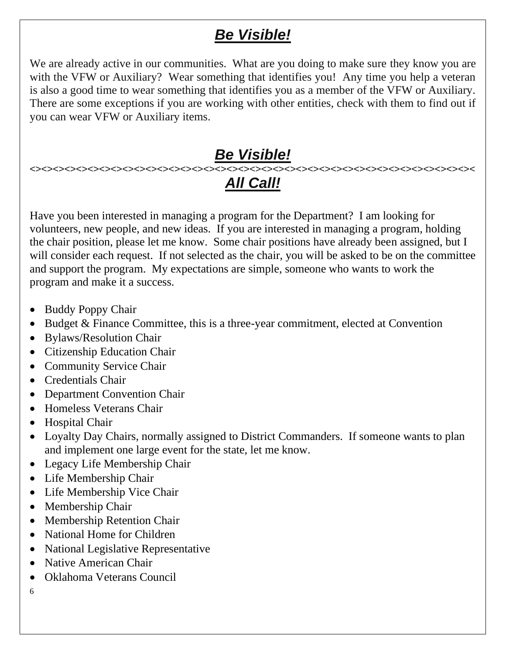## *Be Visible!*

We are already active in our communities. What are you doing to make sure they know you are with the VFW or Auxiliary? Wear something that identifies you! Any time you help a veteran is also a good time to wear something that identifies you as a member of the VFW or Auxiliary. There are some exceptions if you are working with other entities, check with them to find out if you can wear VFW or Auxiliary items.

# *Be Visible!*

#### <><><><><><><><><><><><><><><><><><><><><><><><><><><><><><><><><><><><><><>< *All Call!*

Have you been interested in managing a program for the Department? I am looking for volunteers, new people, and new ideas. If you are interested in managing a program, holding the chair position, please let me know. Some chair positions have already been assigned, but I will consider each request. If not selected as the chair, you will be asked to be on the committee and support the program. My expectations are simple, someone who wants to work the program and make it a success.

- Buddy Poppy Chair
- Budget & Finance Committee, this is a three-year commitment, elected at Convention
- Bylaws/Resolution Chair
- Citizenship Education Chair
- Community Service Chair
- Credentials Chair
- Department Convention Chair
- Homeless Veterans Chair
- Hospital Chair
- Loyalty Day Chairs, normally assigned to District Commanders. If someone wants to plan and implement one large event for the state, let me know.
- Legacy Life Membership Chair
- Life Membership Chair
- Life Membership Vice Chair
- Membership Chair
- Membership Retention Chair
- National Home for Children
- National Legislative Representative
- Native American Chair
- Oklahoma Veterans Council
- 6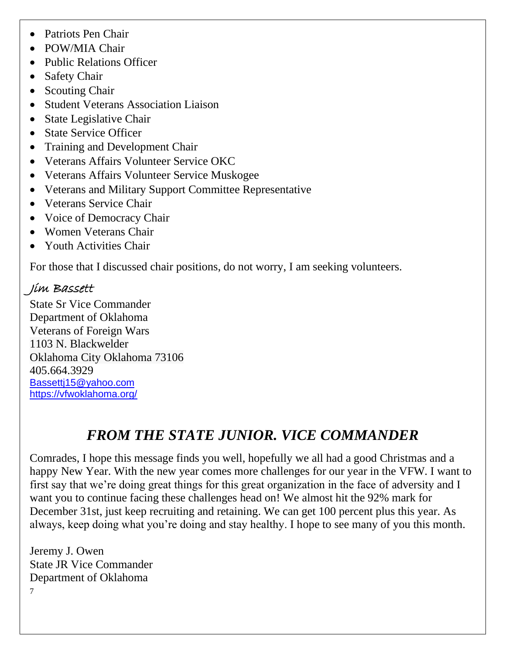- Patriots Pen Chair
- POW/MIA Chair
- Public Relations Officer
- Safety Chair
- Scouting Chair
- Student Veterans Association Liaison
- State Legislative Chair
- State Service Officer
- Training and Development Chair
- Veterans Affairs Volunteer Service OKC
- Veterans Affairs Volunteer Service Muskogee
- Veterans and Military Support Committee Representative
- Veterans Service Chair
- Voice of Democracy Chair
- Women Veterans Chair
- Youth Activities Chair

For those that I discussed chair positions, do not worry, I am seeking volunteers.

### Jim Bassett

State Sr Vice Commander Department of Oklahoma Veterans of Foreign Wars 1103 N. Blackwelder Oklahoma City Oklahoma 73106 405.664.3929 [Bassettj15@yahoo.com](mailto:Bassettj15@yahoo.com) <https://vfwoklahoma.org/>

## *FROM THE STATE JUNIOR. VICE COMMANDER*

Comrades, I hope this message finds you well, hopefully we all had a good Christmas and a happy New Year. With the new year comes more challenges for our year in the VFW. I want to first say that we're doing great things for this great organization in the face of adversity and I want you to continue facing these challenges head on! We almost hit the 92% mark for December 31st, just keep recruiting and retaining. We can get 100 percent plus this year. As always, keep doing what you're doing and stay healthy. I hope to see many of you this month.

7 Jeremy J. Owen State JR Vice Commander Department of Oklahoma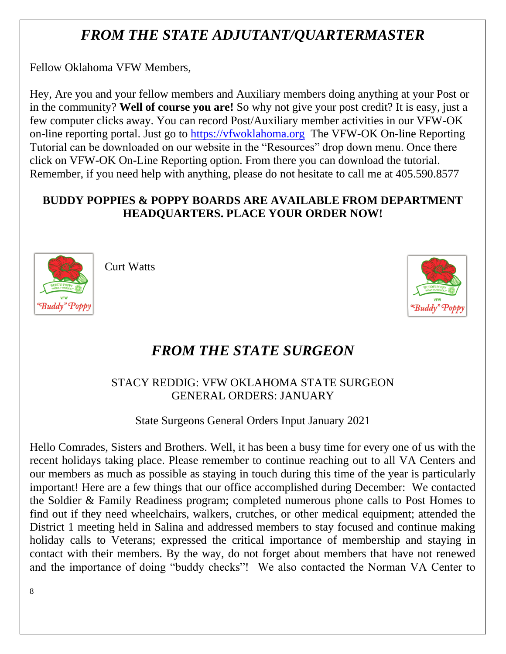## *FROM THE STATE ADJUTANT/QUARTERMASTER*

Fellow Oklahoma VFW Members,

Hey, Are you and your fellow members and Auxiliary members doing anything at your Post or in the community? **Well of course you are!** So why not give your post credit? It is easy, just a few computer clicks away. You can record Post/Auxiliary member activities in our VFW-OK on-line reporting portal. Just go to [https://vfwoklahoma.org](https://vfwoklahoma.org/) The VFW-OK On-line Reporting Tutorial can be downloaded on our website in the "Resources" drop down menu. Once there click on VFW-OK On-Line Reporting option. From there you can download the tutorial. Remember, if you need help with anything, please do not hesitate to call me at 405.590.8577

### **BUDDY POPPIES & POPPY BOARDS ARE AVAILABLE FROM DEPARTMENT HEADQUARTERS. PLACE YOUR ORDER NOW!**



Curt Watts



## *FROM THE STATE SURGEON*

### STACY REDDIG: VFW OKLAHOMA STATE SURGEON GENERAL ORDERS: JANUARY

State Surgeons General Orders Input January 2021

Hello Comrades, Sisters and Brothers. Well, it has been a busy time for every one of us with the recent holidays taking place. Please remember to continue reaching out to all VA Centers and our members as much as possible as staying in touch during this time of the year is particularly important! Here are a few things that our office accomplished during December: We contacted the Soldier & Family Readiness program; completed numerous phone calls to Post Homes to find out if they need wheelchairs, walkers, crutches, or other medical equipment; attended the District 1 meeting held in Salina and addressed members to stay focused and continue making holiday calls to Veterans; expressed the critical importance of membership and staying in contact with their members. By the way, do not forget about members that have not renewed and the importance of doing "buddy checks"! We also contacted the Norman VA Center to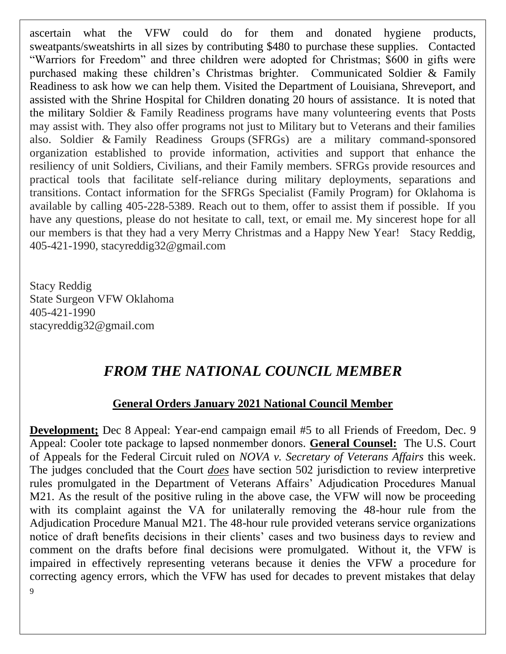ascertain what the VFW could do for them and donated hygiene products, sweatpants/sweatshirts in all sizes by contributing \$480 to purchase these supplies. Contacted "Warriors for Freedom" and three children were adopted for Christmas; \$600 in gifts were purchased making these children's Christmas brighter. Communicated Soldier & Family Readiness to ask how we can help them. Visited the Department of Louisiana, Shreveport, and assisted with the Shrine Hospital for Children donating 20 hours of assistance. It is noted that the military Soldier & Family Readiness programs have many volunteering events that Posts may assist with. They also offer programs not just to Military but to Veterans and their families also. Soldier & Family Readiness Groups (SFRGs) are a military command-sponsored organization established to provide information, activities and support that enhance the resiliency of unit Soldiers, Civilians, and their Family members. SFRGs provide resources and practical tools that facilitate self-reliance during military deployments, separations and transitions. Contact information for the SFRGs Specialist (Family Program) for Oklahoma is available by calling 405-228-5389. Reach out to them, offer to assist them if possible. If you have any questions, please do not hesitate to call, text, or email me. My sincerest hope for all our members is that they had a very Merry Christmas and a Happy New Year! Stacy Reddig, 405-421-1990, stacyreddig32@gmail.com

Stacy Reddig State Surgeon VFW Oklahoma 405-421-1990 stacyreddig32@gmail.com

### *FROM THE NATIONAL COUNCIL MEMBER*

#### **General Orders January 2021 National Council Member**

**Development;** Dec 8 Appeal: Year-end campaign email #5 to all Friends of Freedom, Dec. 9 Appeal: Cooler tote package to lapsed nonmember donors. **General Counsel:** The U.S. Court of Appeals for the Federal Circuit ruled on *NOVA v. Secretary of Veterans Affairs* this week. The judges concluded that the Court *does* have section 502 jurisdiction to review interpretive rules promulgated in the Department of Veterans Affairs' Adjudication Procedures Manual M21. As the result of the positive ruling in the above case, the VFW will now be proceeding with its complaint against the VA for unilaterally removing the 48-hour rule from the Adjudication Procedure Manual M21. The 48-hour rule provided veterans service organizations notice of draft benefits decisions in their clients' cases and two business days to review and comment on the drafts before final decisions were promulgated. Without it, the VFW is impaired in effectively representing veterans because it denies the VFW a procedure for correcting agency errors, which the VFW has used for decades to prevent mistakes that delay

9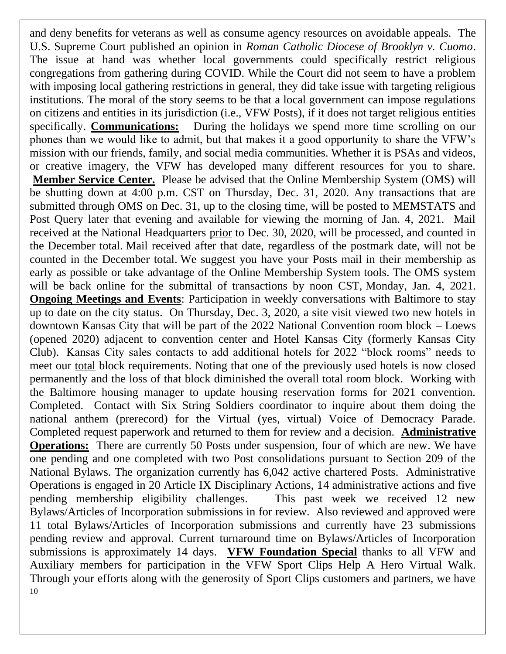10 and deny benefits for veterans as well as consume agency resources on avoidable appeals. The U.S. Supreme Court published an opinion in *Roman Catholic Diocese of Brooklyn v. Cuomo*. The issue at hand was whether local governments could specifically restrict religious congregations from gathering during COVID. While the Court did not seem to have a problem with imposing local gathering restrictions in general, they did take issue with targeting religious institutions. The moral of the story seems to be that a local government can impose regulations on citizens and entities in its jurisdiction (i.e., VFW Posts), if it does not target religious entities specifically. **Communications:** During the holidays we spend more time scrolling on our phones than we would like to admit, but that makes it a good opportunity to share the VFW's mission with our friends, family, and social media communities. Whether it is PSAs and videos, or creative imagery, the VFW has developed many different resources for you to share. **Member Service Center.** Please be advised that the Online Membership System (OMS) will be shutting down at 4:00 p.m. CST on Thursday, Dec. 31, 2020. Any transactions that are submitted through OMS on Dec. 31, up to the closing time, will be posted to MEMSTATS and Post Query later that evening and available for viewing the morning of Jan. 4, 2021. Mail received at the National Headquarters prior to Dec. 30, 2020, will be processed, and counted in the December total. Mail received after that date, regardless of the postmark date, will not be counted in the December total. We suggest you have your Posts mail in their membership as early as possible or take advantage of the Online Membership System tools. The OMS system will be back online for the submittal of transactions by noon CST, Monday, Jan. 4, 2021. **Ongoing Meetings and Events:** Participation in weekly conversations with Baltimore to stay up to date on the city status. On Thursday, Dec. 3, 2020, a site visit viewed two new hotels in downtown Kansas City that will be part of the 2022 National Convention room block – Loews (opened 2020) adjacent to convention center and Hotel Kansas City (formerly Kansas City Club). Kansas City sales contacts to add additional hotels for 2022 "block rooms" needs to meet our total block requirements. Noting that one of the previously used hotels is now closed permanently and the loss of that block diminished the overall total room block. Working with the Baltimore housing manager to update housing reservation forms for 2021 convention. Completed. Contact with Six String Soldiers coordinator to inquire about them doing the national anthem (prerecord) for the Virtual (yes, virtual) Voice of Democracy Parade. Completed request paperwork and returned to them for review and a decision. **Administrative Operations:** There are currently 50 Posts under suspension, four of which are new. We have one pending and one completed with two Post consolidations pursuant to Section 209 of the National Bylaws. The organization currently has 6,042 active chartered Posts. Administrative Operations is engaged in 20 Article IX Disciplinary Actions, 14 administrative actions and five pending membership eligibility challenges. This past week we received 12 new Bylaws/Articles of Incorporation submissions in for review. Also reviewed and approved were 11 total Bylaws/Articles of Incorporation submissions and currently have 23 submissions pending review and approval. Current turnaround time on Bylaws/Articles of Incorporation submissions is approximately 14 days. **VFW Foundation Special** thanks to all VFW and Auxiliary members for participation in the VFW Sport Clips Help A Hero Virtual Walk. Through your efforts along with the generosity of Sport Clips customers and partners, we have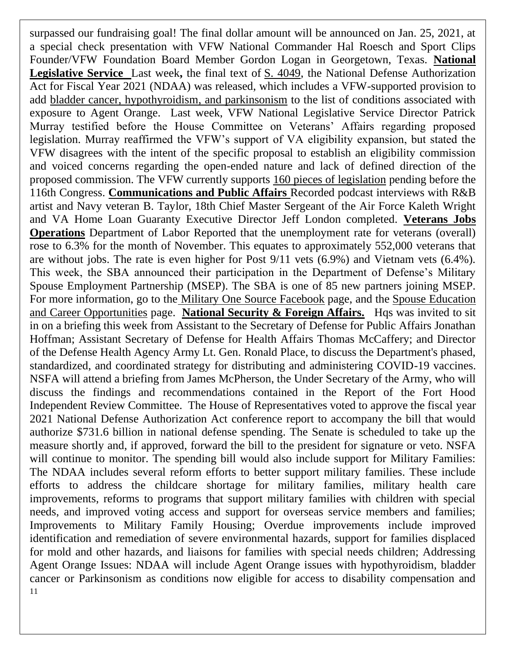11 surpassed our fundraising goal! The final dollar amount will be announced on Jan. 25, 2021, at a special check presentation with VFW National Commander Hal Roesch and Sport Clips Founder/VFW Foundation Board Member Gordon Logan in Georgetown, Texas. **National Legislative Service** Last week**,** the final text of [S. 4049,](https://www.congress.gov/bill/116th-congress/senate-bill/4049) the National Defense Authorization Act for Fiscal Year 2021 (NDAA) was released, which includes a VFW-supported provision to add bladder cancer, hypothyroidism, and parkinsonism to the list of conditions associated with exposure to Agent Orange. Last week, VFW National Legislative Service Director Patrick Murray testified before the House Committee on Veterans' Affairs regarding proposed legislation. Murray reaffirmed the VFW's support of VA eligibility expansion, but stated the VFW disagrees with the intent of the specific proposal to establish an eligibility commission and voiced concerns regarding the open-ended nature and lack of defined direction of the proposed commission. The VFW currently supports [160 pieces of legislation](https://votervoice.net/VFW/bills) pending before the 116th Congress. **Communications and Public Affairs** Recorded podcast interviews with R&B artist and Navy veteran B. Taylor, 18th Chief Master Sergeant of the Air Force Kaleth Wright and VA Home Loan Guaranty Executive Director Jeff London completed. **Veterans Jobs Operations** Department of Labor Reported that the unemployment rate for veterans (overall) rose to 6.3% for the month of November. This equates to approximately 552,000 veterans that are without jobs. The rate is even higher for Post 9/11 vets (6.9%) and Vietnam vets (6.4%). This week, the SBA announced their participation in the Department of Defense's Military Spouse Employment Partnership (MSEP). The SBA is one of 85 new partners joining MSEP. For more information, go to the [Military One Source Facebook](https://www.facebook.com/military.1source) page, and the [Spouse Education](https://myseco.militaryonesource.mil/portal/)  [and Career Opportunities](https://myseco.militaryonesource.mil/portal/) page. **National Security & Foreign Affairs.** Hqs was invited to sit in on a briefing this week from Assistant to the Secretary of Defense for Public Affairs Jonathan Hoffman; Assistant Secretary of Defense for Health Affairs Thomas McCaffery; and Director of the Defense Health Agency Army Lt. Gen. Ronald Place, to discuss the Department's phased, standardized, and coordinated strategy for distributing and administering COVID-19 vaccines. NSFA will attend a briefing from James McPherson, the Under Secretary of the Army, who will discuss the findings and recommendations contained in the Report of the Fort Hood Independent Review Committee. The House of Representatives voted to approve the fiscal year 2021 National Defense Authorization Act conference report to accompany the bill that would authorize \$731.6 billion in national defense spending. The Senate is scheduled to take up the measure shortly and, if approved, forward the bill to the president for signature or veto. NSFA will continue to monitor. The spending bill would also include support for Military Families: The NDAA includes several reform efforts to better support military families. These include efforts to address the childcare shortage for military families, military health care improvements, reforms to programs that support military families with children with special needs, and improved voting access and support for overseas service members and families; Improvements to Military Family Housing; Overdue improvements include improved identification and remediation of severe environmental hazards, support for families displaced for mold and other hazards, and liaisons for families with special needs children; Addressing Agent Orange Issues: NDAA will include Agent Orange issues with hypothyroidism, bladder cancer or Parkinsonism as conditions now eligible for access to disability compensation and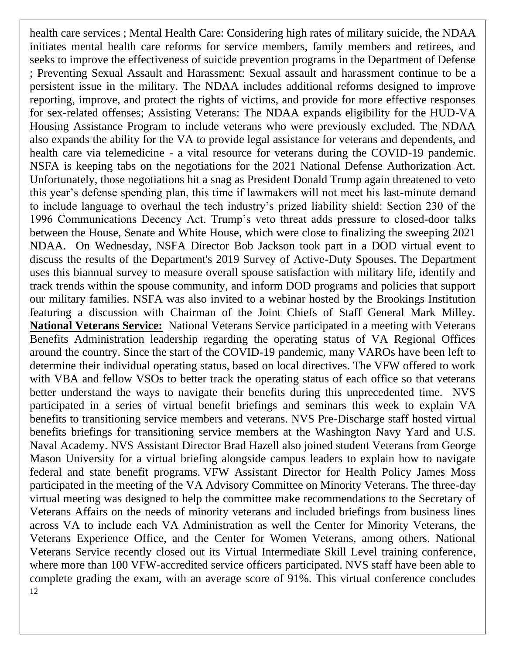12 health care services ; Mental Health Care: Considering high rates of military suicide, the NDAA initiates mental health care reforms for service members, family members and retirees, and seeks to improve the effectiveness of suicide prevention programs in the Department of Defense ; Preventing Sexual Assault and Harassment: Sexual assault and harassment continue to be a persistent issue in the military. The NDAA includes additional reforms designed to improve reporting, improve, and protect the rights of victims, and provide for more effective responses for sex-related offenses; Assisting Veterans: The NDAA expands eligibility for the HUD-VA Housing Assistance Program to include veterans who were previously excluded. The NDAA also expands the ability for the VA to provide legal assistance for veterans and dependents, and health care via telemedicine - a vital resource for veterans during the COVID-19 pandemic. NSFA is keeping tabs on the negotiations for the 2021 National Defense Authorization Act. Unfortunately, those negotiations hit a snag as President Donald Trump again threatened to veto this year's defense spending plan, this time if lawmakers will not meet his last-minute demand to include language to overhaul the tech industry's prized liability shield: Section 230 of the 1996 Communications Decency Act. Trump's veto threat adds pressure to closed-door talks between the House, Senate and White House, which were close to finalizing the sweeping 2021 NDAA. On Wednesday, NSFA Director Bob Jackson took part in a DOD virtual event to discuss the results of the Department's 2019 Survey of Active-Duty Spouses. The Department uses this biannual survey to measure overall spouse satisfaction with military life, identify and track trends within the spouse community, and inform DOD programs and policies that support our military families. NSFA was also invited to a webinar hosted by the Brookings Institution featuring a discussion with Chairman of the Joint Chiefs of Staff General Mark Milley. **National Veterans Service:** National Veterans Service participated in a meeting with Veterans Benefits Administration leadership regarding the operating status of VA Regional Offices around the country. Since the start of the COVID-19 pandemic, many VAROs have been left to determine their individual operating status, based on local directives. The VFW offered to work with VBA and fellow VSOs to better track the operating status of each office so that veterans better understand the ways to navigate their benefits during this unprecedented time. NVS participated in a series of virtual benefit briefings and seminars this week to explain VA benefits to transitioning service members and veterans. NVS Pre-Discharge staff hosted virtual benefits briefings for transitioning service members at the Washington Navy Yard and U.S. Naval Academy. NVS Assistant Director Brad Hazell also joined student Veterans from George Mason University for a virtual briefing alongside campus leaders to explain how to navigate federal and state benefit programs. VFW Assistant Director for Health Policy James Moss participated in the meeting of the VA Advisory Committee on Minority Veterans. The three-day virtual meeting was designed to help the committee make recommendations to the Secretary of Veterans Affairs on the needs of minority veterans and included briefings from business lines across VA to include each VA Administration as well the Center for Minority Veterans, the Veterans Experience Office, and the Center for Women Veterans, among others. National Veterans Service recently closed out its Virtual Intermediate Skill Level training conference, where more than 100 VFW-accredited service officers participated. NVS staff have been able to complete grading the exam, with an average score of 91%. This virtual conference concludes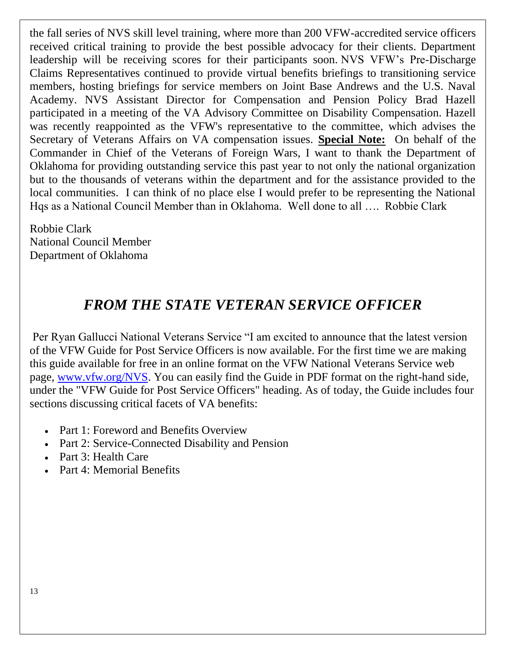the fall series of NVS skill level training, where more than 200 VFW-accredited service officers received critical training to provide the best possible advocacy for their clients. Department leadership will be receiving scores for their participants soon. NVS VFW's Pre-Discharge Claims Representatives continued to provide virtual benefits briefings to transitioning service members, hosting briefings for service members on Joint Base Andrews and the U.S. Naval Academy. NVS Assistant Director for Compensation and Pension Policy Brad Hazell participated in a meeting of the VA Advisory Committee on Disability Compensation. Hazell was recently reappointed as the VFW's representative to the committee, which advises the Secretary of Veterans Affairs on VA compensation issues. **Special Note:** On behalf of the Commander in Chief of the Veterans of Foreign Wars, I want to thank the Department of Oklahoma for providing outstanding service this past year to not only the national organization but to the thousands of veterans within the department and for the assistance provided to the local communities. I can think of no place else I would prefer to be representing the National Hqs as a National Council Member than in Oklahoma. Well done to all …. Robbie Clark

Robbie Clark National Council Member Department of Oklahoma

### *FROM THE STATE VETERAN SERVICE OFFICER*

Per Ryan Gallucci National Veterans Service "I am excited to announce that the latest version of the VFW Guide for Post Service Officers is now available. For the first time we are making this guide available for free in an online format on the VFW National Veterans Service web page, [www.vfw.org/NVS.](http://www.vfw.org/NVS) You can easily find the Guide in PDF format on the right-hand side, under the "VFW Guide for Post Service Officers" heading. As of today, the Guide includes four sections discussing critical facets of VA benefits:

- Part 1: Foreword and Benefits Overview
- Part 2: Service-Connected Disability and Pension
- Part 3: Health Care
- Part 4: Memorial Benefits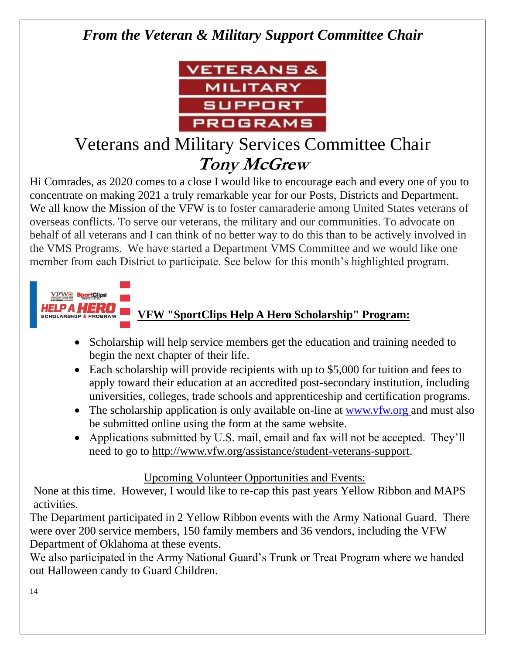## *From the Veteran & Military Support Committee Chair*



# Veterans and Military Services Committee Chair **Tony McGrew**

Hi Comrades, as 2020 comes to a close I would like to encourage each and every one of you to concentrate on making 2021 a truly remarkable year for our Posts, Districts and Department. We all know the Mission of the VFW is to foster camaraderie among United States veterans of overseas conflicts. To serve our veterans, the military and our communities. To advocate on behalf of all veterans and I can think of no better way to do this than to be actively involved in the VMS Programs. We have started a Department VMS Committee and we would like one member from each District to participate. See below for this month's highlighted program.

### **VFW "SportClips Help A Hero Scholarship" Program:**

- Scholarship will help service members get the education and training needed to begin the next chapter of their life.
- Each scholarship will provide recipients with up to \$5,000 for tuition and fees to apply toward their education at an accredited post-secondary institution, including universities, colleges, trade schools and apprenticeship and certification programs.
- The scholarship application is only available on-line at [www.vfw.org a](http://www.vfw.org/)nd must also be submitted online using the form at the same website.
- Applications submitted by U.S. mail, email and fax will not be accepted. They'll need to go to [http://www.vfw.org/assistance/student-veterans-support.](http://www.vfw.org/assistance/student-veterans-support)

#### Upcoming Volunteer Opportunities and Events:

None at this time. However, I would like to re-cap this past years Yellow Ribbon and MAPS activities.

The Department participated in 2 Yellow Ribbon events with the Army National Guard. There were over 200 service members, 150 family members and 36 vendors, including the VFW Department of Oklahoma at these events.

We also participated in the Army National Guard's Trunk or Treat Program where we handed out Halloween candy to Guard Children.

P A MERIT